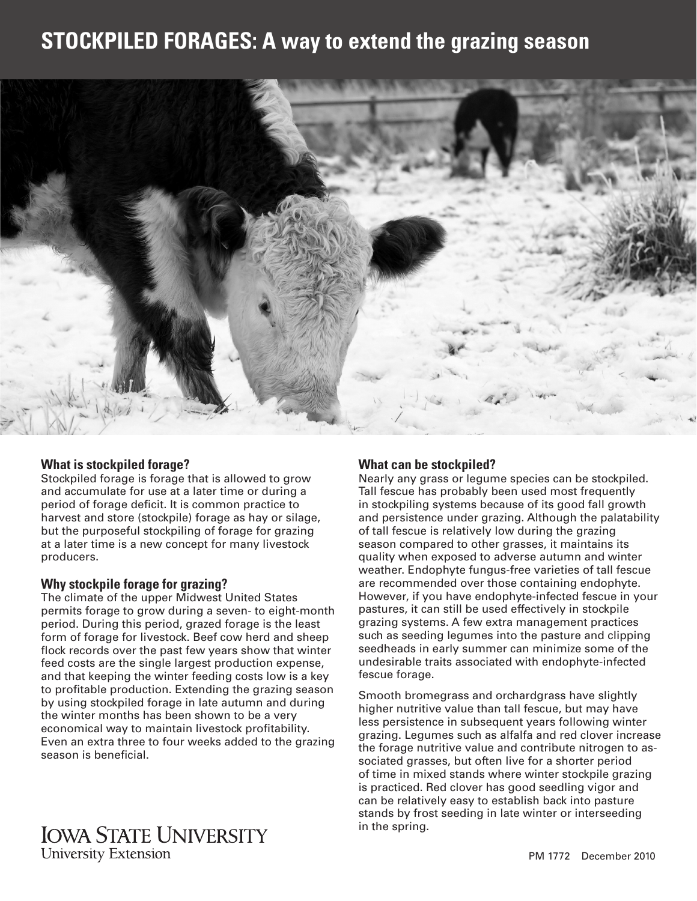# **STOCKPILED FORAGES: A way to extend the grazing season**



#### **What is stockpiled forage?**

Stockpiled forage is forage that is allowed to grow and accumulate for use at a later time or during a period of forage deficit. It is common practice to harvest and store (stockpile) forage as hay or silage, but the purposeful stockpiling of forage for grazing at a later time is a new concept for many livestock producers.

#### **Why stockpile forage for grazing?**

The climate of the upper Midwest United States permits forage to grow during a seven- to eight-month period. During this period, grazed forage is the least form of forage for livestock. Beef cow herd and sheep flock records over the past few years show that winter feed costs are the single largest production expense, and that keeping the winter feeding costs low is a key to profitable production. Extending the grazing season by using stockpiled forage in late autumn and during the winter months has been shown to be a very economical way to maintain livestock profitability. Even an extra three to four weeks added to the grazing season is beneficial.

## **What can be stockpiled?**

Nearly any grass or legume species can be stockpiled. Tall fescue has probably been used most frequently in stockpiling systems because of its good fall growth and persistence under grazing. Although the palatability of tall fescue is relatively low during the grazing season compared to other grasses, it maintains its quality when exposed to adverse autumn and winter weather. Endophyte fungus-free varieties of tall fescue are recommended over those containing endophyte. However, if you have endophyte-infected fescue in your pastures, it can still be used effectively in stockpile grazing systems. A few extra management practices such as seeding legumes into the pasture and clipping seedheads in early summer can minimize some of the undesirable traits associated with endophyte-infected fescue forage.

Smooth bromegrass and orchardgrass have slightly higher nutritive value than tall fescue, but may have less persistence in subsequent years following winter grazing. Legumes such as alfalfa and red clover increase the forage nutritive value and contribute nitrogen to associated grasses, but often live for a shorter period of time in mixed stands where winter stockpile grazing is practiced. Red clover has good seedling vigor and can be relatively easy to establish back into pasture stands by frost seeding in late winter or interseeding in the spring.